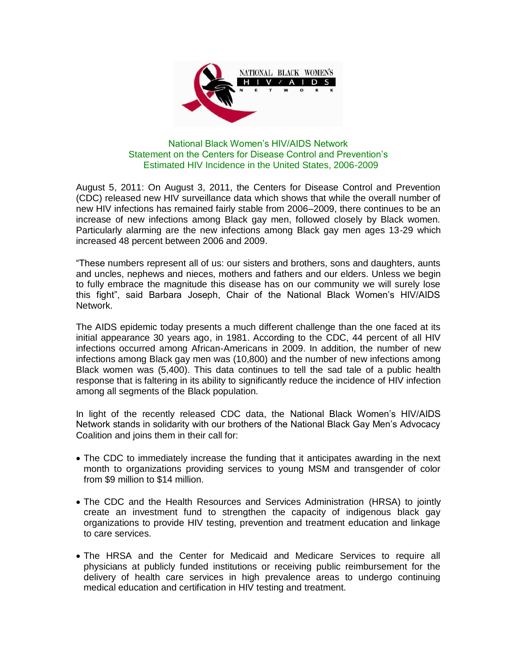

## National Black Women's HIV/AIDS Network Statement on the Centers for Disease Control and Prevention's Estimated HIV Incidence in the United States, 2006-2009

August 5, 2011: On August 3, 2011, the Centers for Disease Control and Prevention (CDC) released new HIV surveillance data which shows that while the overall number of new HIV infections has remained fairly stable from 2006–2009, there continues to be an increase of new infections among Black gay men, followed closely by Black women. Particularly alarming are the new infections among Black gay men ages 13-29 which increased 48 percent between 2006 and 2009.

"These numbers represent all of us: our sisters and brothers, sons and daughters, aunts and uncles, nephews and nieces, mothers and fathers and our elders. Unless we begin to fully embrace the magnitude this disease has on our community we will surely lose this fight", said Barbara Joseph, Chair of the National Black Women's HIV/AIDS Network.

The AIDS epidemic today presents a much different challenge than the one faced at its initial appearance 30 years ago, in 1981. According to the CDC, 44 percent of all HIV infections occurred among African-Americans in 2009. In addition, the number of new infections among Black gay men was (10,800) and the number of new infections among Black women was (5,400). This data continues to tell the sad tale of a public health response that is faltering in its ability to significantly reduce the incidence of HIV infection among all segments of the Black population.

In light of the recently released CDC data, the National Black Women's HIV/AIDS Network stands in solidarity with our brothers of the National Black Gay Men's Advocacy Coalition and joins them in their call for:

- The CDC to immediately increase the funding that it anticipates awarding in the next month to organizations providing services to young MSM and transgender of color from \$9 million to \$14 million.
- The CDC and the Health Resources and Services Administration (HRSA) to jointly create an investment fund to strengthen the capacity of indigenous black gay organizations to provide HIV testing, prevention and treatment education and linkage to care services.
- The HRSA and the Center for Medicaid and Medicare Services to require all physicians at publicly funded institutions or receiving public reimbursement for the delivery of health care services in high prevalence areas to undergo continuing medical education and certification in HIV testing and treatment.